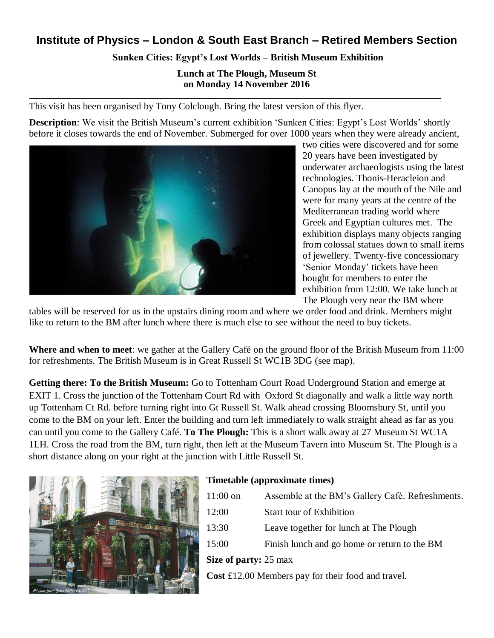## **Institute of Physics – London & South East Branch – Retired Members Section**

## **Sunken Cities: Egypt's Lost Worlds – British Museum Exhibition**

**Lunch at The Plough, Museum St on Monday 14 November 2016**

This visit has been organised by Tony Colclough. Bring the latest version of this flyer.

**Description**: We visit the British Museum's current exhibition 'Sunken Cities: Egypt's Lost Worlds' shortly before it closes towards the end of November. Submerged for over 1000 years when they were already ancient,



two cities were discovered and for some 20 years have been investigated by underwater archaeologists using the latest technologies. Thonis-Heracleion and Canopus lay at the mouth of the Nile and were for many years at the centre of the Mediterranean trading world where Greek and Egyptian cultures met. The exhibition displays many objects ranging from colossal statues down to small items of jewellery. Twenty-five concessionary 'Senior Monday' tickets have been bought for members to enter the exhibition from 12:00. We take lunch at The Plough very near the BM where

tables will be reserved for us in the upstairs dining room and where we order food and drink. Members might like to return to the BM after lunch where there is much else to see without the need to buy tickets.

**Where and when to meet**: we gather at the Gallery Café on the ground floor of the British Museum from 11:00 for refreshments. The British Museum is in Great Russell St WC1B 3DG (see map).

**Getting there: To the British Museum:** Go to Tottenham Court Road Underground Station and emerge at EXIT 1. Cross the junction of the Tottenham Court Rd with Oxford St diagonally and walk a little way north up Tottenham Ct Rd. before turning right into Gt Russell St. Walk ahead crossing Bloomsbury St, until you come to the BM on your left. Enter the building and turn left immediately to walk straight ahead as far as you can until you come to the Gallery Café. **To The Plough:** This is a short walk away at 27 Museum St WC1A 1LH. Cross the road from the BM, turn right, then left at the Museum Tavern into Museum St. The Plough is a short distance along on your right at the junction with Little Russell St.



## **Timetable (approximate times)**

|                       | $11:00$ on                                         | Assemble at the BM's Gallery Café. Refreshments. |  |
|-----------------------|----------------------------------------------------|--------------------------------------------------|--|
|                       | 12:00                                              | <b>Start tour of Exhibition</b>                  |  |
|                       | 13:30                                              | Leave together for lunch at The Plough           |  |
|                       | 15:00                                              | Finish lunch and go home or return to the BM     |  |
| Size of party: 25 max |                                                    |                                                  |  |
|                       | Cost £12.00 Members pay for their food and travel. |                                                  |  |